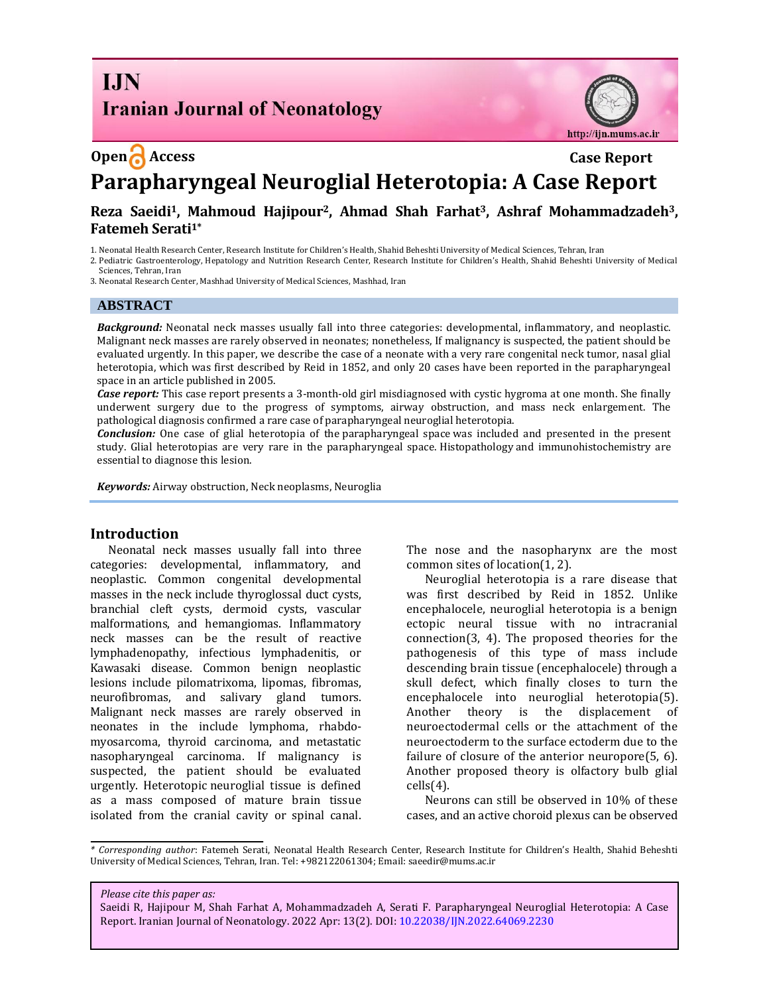## **I.IN Iranian Journal of Neonatology**

### **Open Access Case Report**

http://ijn.mums.ac.ir

# **Parapharyngeal Neuroglial Heterotopia: A Case Report**

#### **Reza Saeidi1, Mahmoud Hajipour2, Ahmad Shah Farhat3, Ashraf Mohammadzadeh3, Fatemeh Serati1\***

1. Neonatal Health Research Center, Research Institute for Children's Health, Shahid Beheshti University of Medical Sciences, Tehran, Iran

2. Pediatric Gastroenterology, Hepatology and Nutrition Research Center, Research Institute for Children's Health, Shahid Beheshti University of Medical Sciences, Tehran, Iran

3. Neonatal Research Center, Mashhad University of Medical Sciences, Mashhad, Iran

#### **ABSTRACT**

*Background:* Neonatal neck masses usually fall into three categories: developmental, inflammatory, and neoplastic. Malignant neck masses are rarely observed in neonates; nonetheless, If malignancy is suspected, the patient should be evaluated urgently. In this paper, we describe the case of a neonate with a very rare congenital neck tumor, nasal glial heterotopia, which was first described by Reid in 1852, and only 20 cases have been reported in the parapharyngeal space in an article published in 2005.

*Case report:* This case report presents a 3-month-old girl misdiagnosed with cystic hygroma at one month. She finally underwent surgery due to the progress of symptoms, airway obstruction, and mass neck enlargement. The pathological diagnosis confirmed a rare case of parapharyngeal neuroglial heterotopia.

*Conclusion:* One case of glial heterotopia of the parapharyngeal space was included and presented in the present study. Glial heterotopias are very rare in the parapharyngeal space. [Histopathology](https://www.sciencedirect.com/topics/medicine-and-dentistry/histopathology) and immunohistochemistry are essential to diagnose this lesion.

*Keywords:* Airway obstruction, Neck neoplasms, Neuroglia

#### **Introduction**

Neonatal neck masses usually fall into three categories: developmental, inflammatory, and neoplastic. Common congenital developmental masses in the neck include thyroglossal duct cysts, branchial cleft cysts, dermoid cysts, vascular malformations, and hemangiomas. Inflammatory neck masses can be the result of reactive lymphadenopathy, infectious lymphadenitis, or Kawasaki disease. Common benign neoplastic lesions include pilomatrixoma, lipomas, fibromas, neurofibromas, and salivary gland tumors. Malignant neck masses are rarely observed in neonates in the include lymphoma, rhabdomyosarcoma, thyroid carcinoma, and metastatic nasopharyngeal carcinoma. If malignancy is suspected, the patient should be evaluated urgently. [Heterotopic](https://www.sciencedirect.com/topics/medicine-and-dentistry/heterotopic) neuroglial tissue is defined as a mass composed of mature brain tissue isolated from the cranial cavity or spinal canal.

The nose and the nasopharynx are the most common sites of location(1, 2).

Neuroglial heterotopia is a rare disease that was first described by Reid in 1852. Unlike encephalocele, neuroglial heterotopia is a benign ectopic neural tissue with no intracranial connection(3, 4). The proposed theories for the pathogenesis of this type of mass include descending brain tissue (encephalocele) through a skull defect, which finally closes to turn the encephalocele into neuroglial heterotopia(5). Another theory is the displacement of neuroectodermal cells or the attachment of the neuroectoderm to the surface ectoderm due to the failure of closure of the anterior neuropore(5, 6). Another proposed theory is olfactory bulb glial cells(4).

Neurons can still be observed in 10% of these cases, and an active choroid plexus can be observed

*\* Corresponding author*: Fatemeh Serati, Neonatal Health Research Center, Research Institute for Children's Health, Shahid Beheshti University of Medical Sciences, Tehran, Iran. Tel: +982122061304; Email: saeedir@mums.ac.ir

*Please cite this paper as:*

Saeidi R, Hajipour M, Shah Farhat A, Mohammadzadeh A, Serati F. Parapharyngeal Neuroglial Heterotopia: A Case Report. Iranian Journal of Neonatology. 2022 Apr: 13(2). DOI: 10.22038/IJN.2022.64069.2230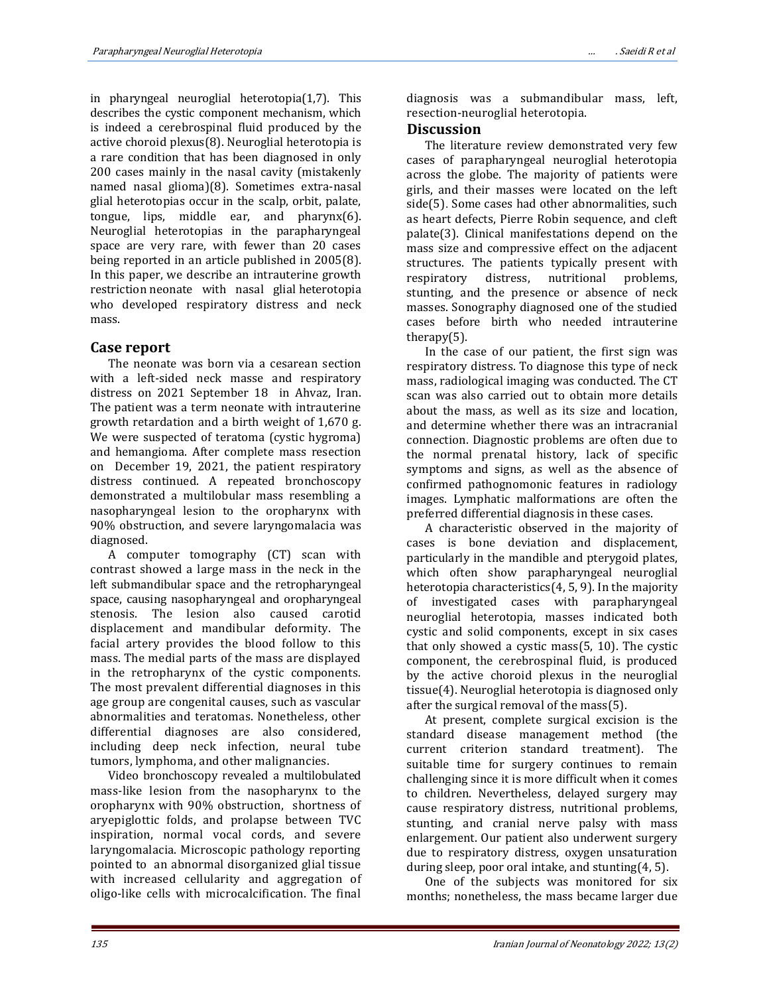in pharyngeal neuroglial heterotopia(1,7). This describes the cystic component mechanism, which is indeed a cerebrospinal fluid produced by the active choroid plexus(8). Neuroglial heterotopia is a rare condition that has been diagnosed in only 200 cases mainly in the nasal cavity (mistakenly named nasal glioma)(8). Sometimes extra-nasal glial heterotopias occur in the scalp, orbit, palate, tongue, lips, middle ear, and pharynx(6). Neuroglial heterotopias in the parapharyngeal space are very rare, with fewer than 20 cases being reported in an article published in 2005(8). In this paper, we describe an intrauterine growth restriction neonate with nasal glial [heterotopia](https://www.sciencedirect.com/topics/medicine-and-dentistry/heterotopia) who developed respiratory distress and neck mass.

#### **Case report**

The neonate was born via a cesarean section with a left-sided neck masse and respiratory distress on 2021 September 18 in Ahvaz, Iran. The patient was a term neonate with intrauterine growth retardation and a birth weight of 1,670 g. We were suspected of teratoma (cystic hygroma) and hemangioma. After complete mass resection on December 19, 2021, the patient respiratory distress continued. A repeated bronchoscopy demonstrated a multilobular mass resembling a nasopharyngeal lesion to the oropharynx with 90% obstruction, and severe laryngomalacia was diagnosed.

A computer tomography (CT) scan with contrast showed a large mass in the neck in the left submandibular space and the retropharyngeal space, causing nasopharyngeal and oropharyngeal stenosis. The lesion also caused carotid displacement and mandibular deformity. The facial artery provides the blood follow to this mass. The medial parts of the mass are displayed in the retropharynx of the cystic components. The most prevalent differential diagnoses in this age group are congenital causes, such as vascular abnormalities and teratomas. Nonetheless, other differential diagnoses are also considered, including deep neck infection, neural tube tumors, lymphoma, and other malignancies.

Video bronchoscopy revealed a multilobulated mass-like lesion from the nasopharynx to the oropharynx with 90% obstruction, shortness of aryepiglottic folds, and prolapse between TVC inspiration, normal vocal cords, and severe laryngomalacia. Microscopic pathology reporting pointed to an abnormal disorganized glial tissue with increased cellularity and aggregation of oligo-like cells with microcalcification. The final diagnosis was a submandibular mass, left, resection-neuroglial heterotopia.

#### **Discussion**

The literature review demonstrated very few cases of parapharyngeal neuroglial heterotopia across the globe. The majority of patients were girls, and their masses were located on the left side(5). Some cases had other abnormalities, such as heart defects, Pierre Robin sequence, and cleft palate(3). Clinical manifestations depend on the mass size and compressive effect on the adjacent structures. The patients typically present with respiratory distress, nutritional problems, stunting, and the presence or absence of neck masses. Sonography diagnosed one of the studied cases before birth who needed intrauterine therapy(5).

In the case of our patient, the first sign was respiratory distress. To diagnose this type of neck mass, radiological imaging was conducted. The CT scan was also carried out to obtain more details about the mass, as well as its size and location, and determine whether there was an intracranial connection. Diagnostic problems are often due to the normal prenatal history, lack of specific symptoms and signs, as well as the absence of confirmed pathognomonic features in radiology images. Lymphatic malformations are often the preferred differential diagnosis in these cases.

A characteristic observed in the majority of cases is bone deviation and displacement, particularly in the mandible and pterygoid plates, which often show parapharyngeal neuroglial heterotopia characteristics(4, 5, 9). In the majority of investigated cases with parapharyngeal neuroglial heterotopia, masses indicated both cystic and solid components, except in six cases that only showed a cystic mass(5, 10). The cystic component, the cerebrospinal fluid, is produced by the active choroid plexus in the neuroglial tissue(4). Neuroglial heterotopia is diagnosed only after the surgical removal of the mass(5).

At present, complete surgical excision is the standard disease management method (the current criterion standard treatment). The suitable time for surgery continues to remain challenging since it is more difficult when it comes to children. Nevertheless, delayed surgery may cause respiratory distress, nutritional problems, stunting, and cranial nerve palsy with mass enlargement. Our patient also underwent surgery due to respiratory distress, oxygen unsaturation during sleep, poor oral intake, and stunting(4, 5).

One of the subjects was monitored for six months; nonetheless, the mass became larger due